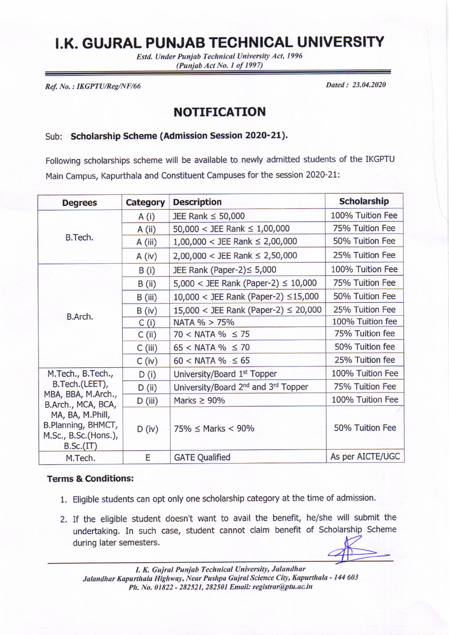## **I.K. GUJRAL PUNJAB TECHNICAL UNIVERSITY**

Estd. Under Punjab Technical University Act, 1996  $(Punjab Act No. 1 of 1997)$ 

Ref. No. : IKGPTU/Reg/NF/66 Dated : 23.04.2020

## NOTIFICATION

## Sub: Scholarship Scheme (Admission Session 2020-21).

Following scholarships scheme will be available to newly admitted students of the IKGPTU Main Campus, Kapurthala and Constituent Campuses for the session 202Q-2L:

| <b>Degrees</b>                                                                                                                                                 | <b>Category</b> | <b>Description</b>                                          | <b>Scholarship</b> |
|----------------------------------------------------------------------------------------------------------------------------------------------------------------|-----------------|-------------------------------------------------------------|--------------------|
| B.Tech.                                                                                                                                                        | A(i)            | JEE Rank $\leq$ 50,000                                      | 100% Tuition Fee   |
|                                                                                                                                                                | A (ii)          | 50,000 < JEE Rank $\leq 1,00,000$                           | 75% Tuition Fee    |
|                                                                                                                                                                | A (iii)         | $1,00,000 <$ JEE Rank $\leq 2,00,000$                       | 50% Tuition Fee    |
|                                                                                                                                                                | A (iv)          | $2,00,000 <$ JEE Rank $\leq 2,50,000$                       | 25% Tuition Fee    |
| B.Arch.                                                                                                                                                        | B(i)            | JEE Rank (Paper-2) ≤ 5,000                                  | 100% Tuition Fee   |
|                                                                                                                                                                | B (ii)          | $5,000 <$ JEE Rank (Paper-2) $\leq 10,000$                  | 75% Tuition Fee    |
|                                                                                                                                                                | B (iii)         | $10,000 <$ JEE Rank (Paper-2) $\leq$ 15,000                 | 50% Tuition Fee    |
|                                                                                                                                                                | B (iv)          | $15,000 <$ JEE Rank (Paper-2) $\leq 20,000$                 | 25% Tuition Fee    |
|                                                                                                                                                                | C(i)            | NATA % > 75%                                                | 100% Tuition fee   |
|                                                                                                                                                                | C (ii)          | $70 < NATA % \le 75$                                        | 75% Tuition fee    |
|                                                                                                                                                                | $C$ (iii)       | $65 <$ NATA % $\leq 70$                                     | 50% Tuition fee    |
|                                                                                                                                                                | $C$ (iv)        | $60 <$ NATA % $\leq 65$                                     | 25% Tuition fee    |
| M.Tech., B.Tech.,<br>B.Tech.(LEET),<br>MBA, BBA, M.Arch.,<br>B.Arch., MCA, BCA,<br>MA, BA, M.Phill,<br>B.Planning, BHMCT,<br>M.Sc., B.Sc.(Hons.),<br>B.Sc.(IT) | D(i)            | University/Board 1st Topper                                 | 100% Tuition Fee   |
|                                                                                                                                                                | D (ii)          | University/Board 2 <sup>nd</sup> and 3 <sup>rd</sup> Topper | 75% Tuition Fee    |
|                                                                                                                                                                | $D$ (iii)       | Marks $\geq 90\%$                                           | 100% Tuition Fee   |
|                                                                                                                                                                | D (iv)          | $75\% \leq$ Marks < 90%                                     | 50% Tuition Fee    |
| M.Tech.                                                                                                                                                        | E               | <b>GATE Qualified</b>                                       | As per AICTE/UGC   |

## Terms & Conditions:

- 1. Eligible students can opt only one scholarship category at the time of admission.
- 2. If the eligible student doesn't want to avail the benefit, he/she will submit the undertaking. In such case, student cannot claim benefit of Scholarship Scheme during later semesters.

I. K. Gujral Punjab Technicd Universily, Jalandhar Jalandhar Kapurthala Highway, Near Pushpa Gujral Science City, Kapurthala - 144 603 Ph. No. 01822 - 282521, 282501 Email: registrar@ptu.ac.in